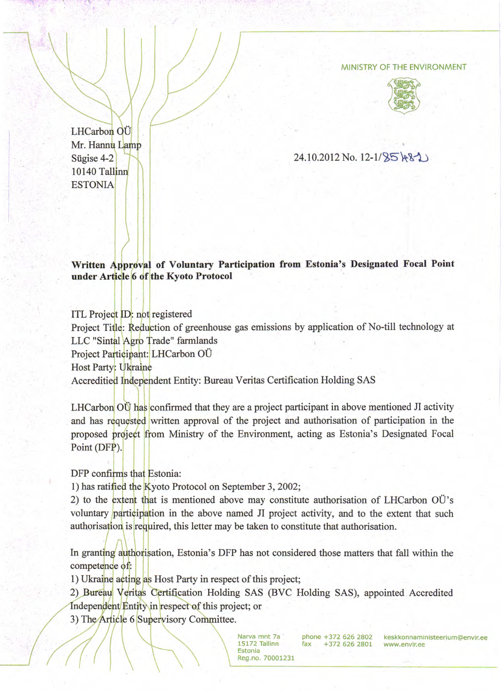## MINISTRY OF THE ENVIRONMENT



LHCarbon OU Mr. Hannu Lamp Sügise 4-2 )"IN 10140 Tallinn **ESTONIA** 

 $24.10.2012$  No. 12-1/ $85$  +  $3$ 

**Written Approval of Voluntary Participation from Estonia's Designated Focal Point under Article 6 of the Kyoto Protocol** 

ITL Project ID: not registered Project Title: Reduction of greenhouse gas emissions by application of No-till technology at LLC "Sintal Agro Trade" farmlands Project Participant: LHCarbon OÜ Host Party: Ukraine Accreditied Independent Entity: Bureau Veritas Certification Holding SAS

LHCarbon OU has confirmed that they are a project participant in above mentioned JI activity and has requested written approval of the project and authorisation of participation in the proposed project from Ministry of the Environment, acting as Estonia's Designated Focal Point (DFP).

DFP confirms that Estonia:

1) has ratified the Kyoto Protocol on September 3, 2002;

2) to the extent that is mentioned above may constitute authorisation of LHCarbon OU's voluntary participation in the above named JI project activity, and to the extent that such authorisation is required, this letter may be taken to constitute that authorisation.

In granting authorisation, Estonia's DFP has not considered those matters that fall within the competence of:

1) Ukraine acting as Host Party in respect of this project;

2) Bureau Veritas Certification Holding SAS (BVC Holding SAS), appointed Accredited Independent Entity in respect of this project; or

3) The Article 6 Supervisory Committee.

 $\left($   $\left/$   $\left/$   $\right/$   $\left/$   $\right/$   $\left/$   $\right/$   $\left/$   $\right/$   $\left/$   $\left/$   $\right/$   $\left/$   $\left/$   $\right/$   $\left/$   $\left/$   $\right/$   $\left/$   $\left/$   $\right/$   $\left/$   $\left/$   $\left/$   $\left/$   $\right/$   $\left/$   $\left/$   $\left/$   $\right/$   $\left/$   $\left/$   $\left/$   $\left/$   $\right/$   $\left/$  $\frac{1}{\log n}$  /  $\frac{1}{\log n}$   $\frac{1}{\log n}$   $\frac{1}{\log n}$   $\frac{1}{\log n}$   $\frac{1}{\log n}$   $\frac{1}{\log n}$   $\frac{1}{\log n}$   $\frac{1}{\log n}$   $\frac{1}{\log n}$   $\frac{1}{\log n}$   $\frac{1}{\log n}$   $\frac{1}{\log n}$   $\frac{1}{\log n}$   $\frac{1}{\log n}$   $\frac{1}{\log n}$   $\frac{1}{\log n}$   $\frac{1}{\log n}$   $\frac$ 

Parva mnt 7a<br>
15172 Tallinn fax +372 626 2802 keskkonnamin<br>
Estonia fax +372 626 2801 www.envir.ee

Narva mnt 7a phone +372 626 2802 keskkonnaministeerium@envir.ee<br>15172 Tallinn fax +372 626 2801 www.envir.ee